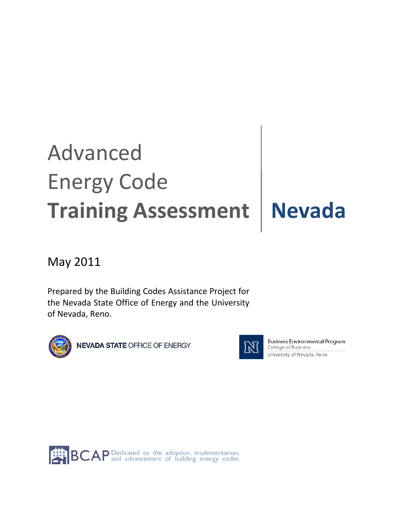# Advanced Energy Code **Training Assessment | Nevada**

# May 2011

Prepared by the Building Codes Assistance Project for the Nevada State Office of Energy and the University of Nevada, Reno.





**Business Environmental Program** College of Business University of Nevada, Reno

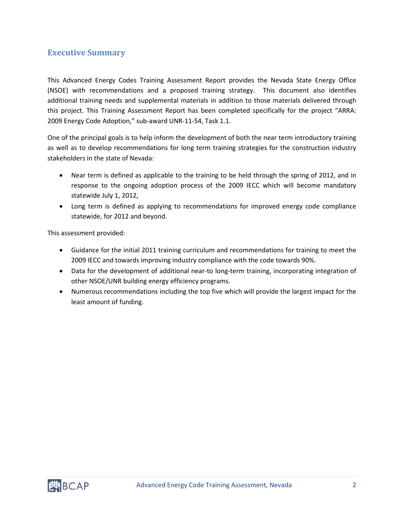# **Executive Summary**

This Advanced Energy Codes Training Assessment Report provides the Nevada State Energy Office (NSOE) with recommendations and a proposed training strategy. This document also identifies additional training needs and supplemental materials in addition to those materials delivered through this project. This Training Assessment Report has been completed specifically for the project "ARRA: 2009 Energy Code Adoption," sub-award UNR-11-54, Task 1.1.

One of the principal goals is to help inform the development of both the near term introductory training as well as to develop recommendations for long term training strategies for the construction industry stakeholders in the state of Nevada:

- Near term is defined as applicable to the training to be held through the spring of 2012, and in response to the ongoing adoption process of the 2009 IECC which will become mandatory statewide July 1, 2012,
- Long term is defined as applying to recommendations for improved energy code compliance statewide, for 2012 and beyond.

This assessment provided:

- Guidance for the initial 2011 training curriculum and recommendations for training to meet the 2009 IECC and towards improving industry compliance with the code towards 90%.
- Data for the development of additional near-to long-term training, incorporating integration of other NSOE/UNR building energy efficiency programs.
- Numerous recommendations including the top five which will provide the largest impact for the least amount of funding.

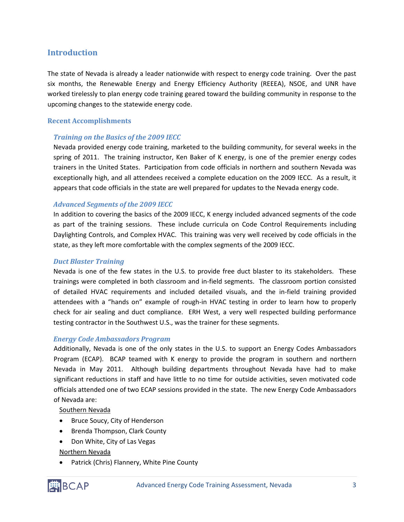## **Introduction**

The state of Nevada is already a leader nationwide with respect to energy code training. Over the past six months, the Renewable Energy and Energy Efficiency Authority (REEEA), NSOE, and UNR have worked tirelessly to plan energy code training geared toward the building community in response to the upcoming changes to the statewide energy code.

#### **Recent Accomplishments**

#### *Training on the Basics of the 2009 IECC*

Nevada provided energy code training, marketed to the building community, for several weeks in the spring of 2011. The training instructor, Ken Baker of K energy, is one of the premier energy codes trainers in the United States. Participation from code officials in northern and southern Nevada was exceptionally high, and all attendees received a complete education on the 2009 IECC. As a result, it appears that code officials in the state are well prepared for updates to the Nevada energy code.

#### *Advanced Segments of the 2009 IECC*

In addition to covering the basics of the 2009 IECC, K energy included advanced segments of the code as part of the training sessions. These include curricula on Code Control Requirements including Daylighting Controls, and Complex HVAC. This training was very well received by code officials in the state, as they left more comfortable with the complex segments of the 2009 IECC.

#### *Duct Blaster Training*

Nevada is one of the few states in the U.S. to provide free duct blaster to its stakeholders. These trainings were completed in both classroom and in-field segments. The classroom portion consisted of detailed HVAC requirements and included detailed visuals, and the in-field training provided attendees with a "hands on" example of rough-in HVAC testing in order to learn how to properly check for air sealing and duct compliance. ERH West, a very well respected building performance testing contractor in the Southwest U.S., was the trainer for these segments.

#### *Energy Code Ambassadors Program*

Additionally, Nevada is one of the only states in the U.S. to support an Energy Codes Ambassadors Program (ECAP). BCAP teamed with K energy to provide the program in southern and northern Nevada in May 2011. Although building departments throughout Nevada have had to make significant reductions in staff and have little to no time for outside activities, seven motivated code officials attended one of two ECAP sessions provided in the state. The new Energy Code Ambassadors of Nevada are:

Southern Nevada

- Bruce Soucy, City of Henderson
- Brenda Thompson, Clark County
- Don White, City of Las Vegas

#### Northern Nevada

• Patrick (Chris) Flannery, White Pine County

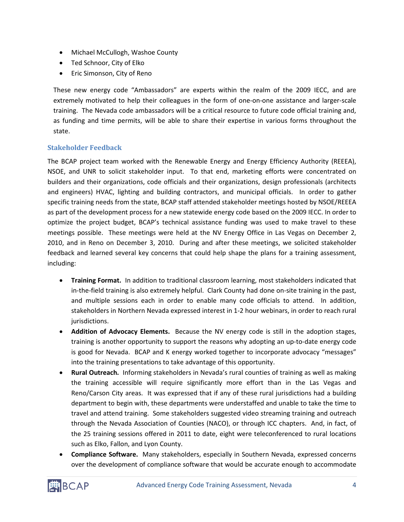- Michael McCullogh, Washoe County
- Ted Schnoor, City of Elko
- Eric Simonson, City of Reno

These new energy code "Ambassadors" are experts within the realm of the 2009 IECC, and are extremely motivated to help their colleagues in the form of one-on-one assistance and larger-scale training. The Nevada code ambassadors will be a critical resource to future code official training and, as funding and time permits, will be able to share their expertise in various forms throughout the state.

#### **Stakeholder Feedback**

The BCAP project team worked with the Renewable Energy and Energy Efficiency Authority (REEEA), NSOE, and UNR to solicit stakeholder input. To that end, marketing efforts were concentrated on builders and their organizations, code officials and their organizations, design professionals (architects and engineers) HVAC, lighting and building contractors, and municipal officials. In order to gather specific training needs from the state, BCAP staff attended stakeholder meetings hosted by NSOE/REEEA as part of the development process for a new statewide energy code based on the 2009 IECC. In order to optimize the project budget, BCAP's technical assistance funding was used to make travel to these meetings possible. These meetings were held at the NV Energy Office in Las Vegas on December 2, 2010, and in Reno on December 3, 2010. During and after these meetings, we solicited stakeholder feedback and learned several key concerns that could help shape the plans for a training assessment, including:

- **Training Format.** In addition to traditional classroom learning, most stakeholders indicated that in-the-field training is also extremely helpful. Clark County had done on-site training in the past, and multiple sessions each in order to enable many code officials to attend. In addition, stakeholders in Northern Nevada expressed interest in 1-2 hour webinars, in order to reach rural jurisdictions.
- **Addition of Advocacy Elements.** Because the NV energy code is still in the adoption stages, training is another opportunity to support the reasons why adopting an up-to-date energy code is good for Nevada. BCAP and K energy worked together to incorporate advocacy "messages" into the training presentations to take advantage of this opportunity.
- **Rural Outreach.** Informing stakeholders in Nevada's rural counties of training as well as making the training accessible will require significantly more effort than in the Las Vegas and Reno/Carson City areas. It was expressed that if any of these rural jurisdictions had a building department to begin with, these departments were understaffed and unable to take the time to travel and attend training. Some stakeholders suggested video streaming training and outreach through the Nevada Association of Counties (NACO), or through ICC chapters. And, in fact, of the 25 training sessions offered in 2011 to date, eight were teleconferenced to rural locations such as Elko, Fallon, and Lyon County.
- **Compliance Software.** Many stakeholders, especially in Southern Nevada, expressed concerns over the development of compliance software that would be accurate enough to accommodate

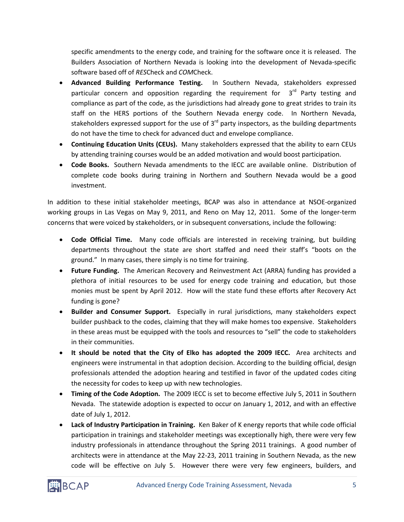specific amendments to the energy code, and training for the software once it is released. The Builders Association of Northern Nevada is looking into the development of Nevada-specific software based off of *RES*Check and *COM*Check.

- **Advanced Building Performance Testing.** In Southern Nevada, stakeholders expressed particular concern and opposition regarding the requirement for  $3<sup>rd</sup>$  Party testing and compliance as part of the code, as the jurisdictions had already gone to great strides to train its staff on the HERS portions of the Southern Nevada energy code. In Northern Nevada, stakeholders expressed support for the use of 3<sup>rd</sup> party inspectors, as the building departments do not have the time to check for advanced duct and envelope compliance.
- **Continuing Education Units (CEUs).** Many stakeholders expressed that the ability to earn CEUs by attending training courses would be an added motivation and would boost participation.
- **Code Books.** Southern Nevada amendments to the IECC are available online. Distribution of complete code books during training in Northern and Southern Nevada would be a good investment.

In addition to these initial stakeholder meetings, BCAP was also in attendance at NSOE-organized working groups in Las Vegas on May 9, 2011, and Reno on May 12, 2011. Some of the longer-term concerns that were voiced by stakeholders, or in subsequent conversations, include the following:

- **Code Official Time.** Many code officials are interested in receiving training, but building departments throughout the state are short staffed and need their staff's "boots on the ground." In many cases, there simply is no time for training.
- **Future Funding.** The American Recovery and Reinvestment Act (ARRA) funding has provided a plethora of initial resources to be used for energy code training and education, but those monies must be spent by April 2012. How will the state fund these efforts after Recovery Act funding is gone?
- **Builder and Consumer Support.** Especially in rural jurisdictions, many stakeholders expect builder pushback to the codes, claiming that they will make homes too expensive. Stakeholders in these areas must be equipped with the tools and resources to "sell" the code to stakeholders in their communities.
- **It should be noted that the City of Elko has adopted the 2009 IECC.** Area architects and engineers were instrumental in that adoption decision. According to the building official, design professionals attended the adoption hearing and testified in favor of the updated codes citing the necessity for codes to keep up with new technologies.
- **Timing of the Code Adoption.** The 2009 IECC is set to become effective July 5, 2011 in Southern Nevada. The statewide adoption is expected to occur on January 1, 2012, and with an effective date of July 1, 2012.
- **Lack of Industry Participation in Training.** Ken Baker of K energy reports that while code official participation in trainings and stakeholder meetings was exceptionally high, there were very few industry professionals in attendance throughout the Spring 2011 trainings. A good number of architects were in attendance at the May 22-23, 2011 training in Southern Nevada, as the new code will be effective on July 5. However there were very few engineers, builders, and

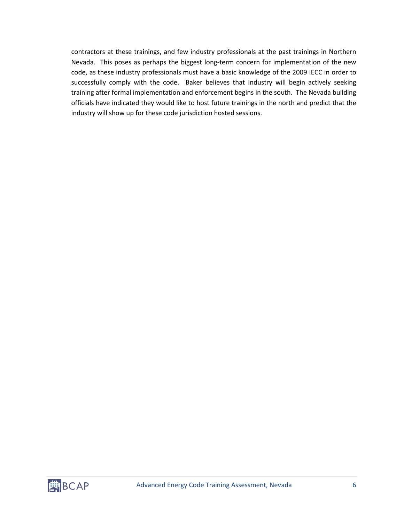contractors at these trainings, and few industry professionals at the past trainings in Northern Nevada. This poses as perhaps the biggest long-term concern for implementation of the new code, as these industry professionals must have a basic knowledge of the 2009 IECC in order to successfully comply with the code. Baker believes that industry will begin actively seeking training after formal implementation and enforcement begins in the south. The Nevada building officials have indicated they would like to host future trainings in the north and predict that the industry will show up for these code jurisdiction hosted sessions.

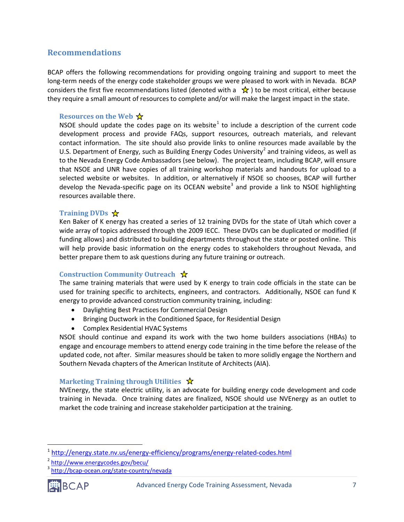### **Recommendations**

BCAP offers the following recommendations for providing ongoing training and support to meet the long-term needs of the energy code stakeholder groups we were pleased to work with in Nevada. BCAP considers the first five recommendations listed (denoted with a  $\star$ ) to be most critical, either because they require a small amount of resources to complete and/or will make the largest impact in the state.

#### **Resources on the Web ☆**

NSOE should update the codes page on its website<sup>[1](#page-6-0)</sup> to include a description of the current code development process and provide FAQs, support resources, outreach materials, and relevant contact information. The site should also provide links to online resources made available by the U.S. Department of Energy, such as Building Energy Codes University<sup>[2](#page-6-1)</sup> and training videos, as well as to the Nevada Energy Code Ambassadors (see below). The project team, including BCAP, will ensure that NSOE and UNR have copies of all training workshop materials and handouts for upload to a selected website or websites. In addition, or alternatively if NSOE so chooses, BCAP will further develop the Nevada-specific page on its OCEAN website<sup>[3](#page-6-2)</sup> and provide a link to NSOE highlighting resources available there.

#### **Training DVDs**

Ken Baker of K energy has created a series of 12 training DVDs for the state of Utah which cover a wide array of topics addressed through the 2009 IECC. These DVDs can be duplicated or modified (if funding allows) and distributed to building departments throughout the state or posted online. This will help provide basic information on the energy codes to stakeholders throughout Nevada, and better prepare them to ask questions during any future training or outreach.

#### **Construction Community Outreach**

The same training materials that were used by K energy to train code officials in the state can be used for training specific to architects, engineers, and contractors. Additionally, NSOE can fund K energy to provide advanced construction community training, including:

- Daylighting Best Practices for Commercial Design
- Bringing Ductwork in the Conditioned Space, for Residential Design
- Complex Residential HVAC Systems

NSOE should continue and expand its work with the two home builders associations (HBAs) to engage and encourage members to attend energy code training in the time before the release of the updated code, not after. Similar measures should be taken to more solidly engage the Northern and Southern Nevada chapters of the American Institute of Architects (AIA).

#### **Marketing Training through Utilities** ☆

NVEnergy, the state electric utility, is an advocate for building energy code development and code training in Nevada. Once training dates are finalized, NSOE should use NVEnergy as an outlet to market the code training and increase stakeholder participation at the training.

<span id="page-6-2"></span><span id="page-6-1"></span><sup>3</sup> <http://bcap-ocean.org/state-country/nevada>



<span id="page-6-0"></span><sup>&</sup>lt;sup>1</sup> <http://energy.state.nv.us/energy-efficiency/programs/energy-related-codes.html>

<sup>2</sup> <http://www.energycodes.gov/becu/>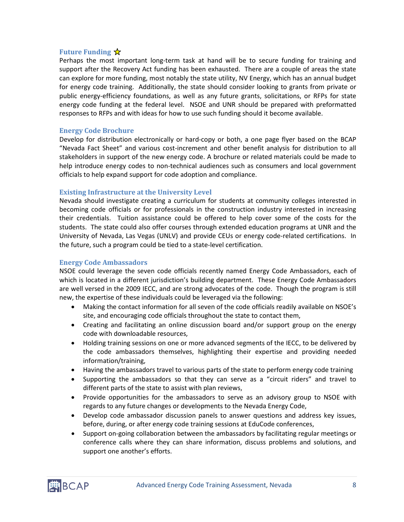#### **Future Funding**

Perhaps the most important long-term task at hand will be to secure funding for training and support after the Recovery Act funding has been exhausted. There are a couple of areas the state can explore for more funding, most notably the state utility, NV Energy, which has an annual budget for energy code training. Additionally, the state should consider looking to grants from private or public energy-efficiency foundations, as well as any future grants, solicitations, or RFPs for state energy code funding at the federal level. NSOE and UNR should be prepared with preformatted responses to RFPs and with ideas for how to use such funding should it become available.

#### **Energy Code Brochure**

Develop for distribution electronically or hard-copy or both, a one page flyer based on the BCAP "Nevada Fact Sheet" and various cost-increment and other benefit analysis for distribution to all stakeholders in support of the new energy code. A brochure or related materials could be made to help introduce energy codes to non-technical audiences such as consumers and local government officials to help expand support for code adoption and compliance.

#### **Existing Infrastructure at the University Level**

Nevada should investigate creating a curriculum for students at community colleges interested in becoming code officials or for professionals in the construction industry interested in increasing their credentials. Tuition assistance could be offered to help cover some of the costs for the students. The state could also offer courses through extended education programs at UNR and the University of Nevada, Las Vegas (UNLV) and provide CEUs or energy code-related certifications. In the future, such a program could be tied to a state-level certification.

#### **Energy Code Ambassadors**

NSOE could leverage the seven code officials recently named Energy Code Ambassadors, each of which is located in a different jurisdiction's building department. These Energy Code Ambassadors are well versed in the 2009 IECC, and are strong advocates of the code. Though the program is still new, the expertise of these individuals could be leveraged via the following:

- Making the contact information for all seven of the code officials readily available on NSOE's site, and encouraging code officials throughout the state to contact them,
- Creating and facilitating an online discussion board and/or support group on the energy code with downloadable resources,
- Holding training sessions on one or more advanced segments of the IECC, to be delivered by the code ambassadors themselves, highlighting their expertise and providing needed information/training,
- Having the ambassadors travel to various parts of the state to perform energy code training
- Supporting the ambassadors so that they can serve as a "circuit riders" and travel to different parts of the state to assist with plan reviews,
- Provide opportunities for the ambassadors to serve as an advisory group to NSOE with regards to any future changes or developments to the Nevada Energy Code,
- Develop code ambassador discussion panels to answer questions and address key issues, before, during, or after energy code training sessions at EduCode conferences,
- Support on-going collaboration between the ambassadors by facilitating regular meetings or conference calls where they can share information, discuss problems and solutions, and support one another's efforts.

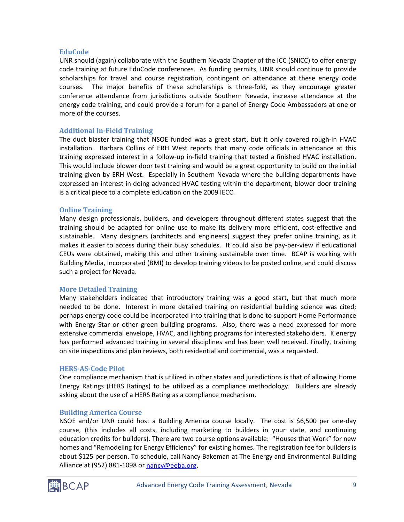#### **EduCode**

UNR should (again) collaborate with the Southern Nevada Chapter of the ICC (SNICC) to offer energy code training at future EduCode conferences. As funding permits, UNR should continue to provide scholarships for travel and course registration, contingent on attendance at these energy code courses. The major benefits of these scholarships is three-fold, as they encourage greater conference attendance from jurisdictions outside Southern Nevada, increase attendance at the energy code training, and could provide a forum for a panel of Energy Code Ambassadors at one or more of the courses.

#### **Additional In-Field Training**

The duct blaster training that NSOE funded was a great start, but it only covered rough-in HVAC installation. Barbara Collins of ERH West reports that many code officials in attendance at this training expressed interest in a follow-up in-field training that tested a finished HVAC installation. This would include blower door test training and would be a great opportunity to build on the initial training given by ERH West. Especially in Southern Nevada where the building departments have expressed an interest in doing advanced HVAC testing within the department, blower door training is a critical piece to a complete education on the 2009 IECC.

#### **Online Training**

Many design professionals, builders, and developers throughout different states suggest that the training should be adapted for online use to make its delivery more efficient, cost-effective and sustainable. Many designers (architects and engineers) suggest they prefer online training, as it makes it easier to access during their busy schedules. It could also be pay-per-view if educational CEUs were obtained, making this and other training sustainable over time. BCAP is working with Building Media, Incorporated (BMI) to develop training videos to be posted online, and could discuss such a project for Nevada.

#### **More Detailed Training**

Many stakeholders indicated that introductory training was a good start, but that much more needed to be done. Interest in more detailed training on residential building science was cited; perhaps energy code could be incorporated into training that is done to support Home Performance with Energy Star or other green building programs. Also, there was a need expressed for more extensive commercial envelope, HVAC, and lighting programs for interested stakeholders. K energy has performed advanced training in several disciplines and has been well received. Finally, training on site inspections and plan reviews, both residential and commercial, was a requested.

#### **HERS-AS-Code Pilot**

One compliance mechanism that is utilized in other states and jurisdictions is that of allowing Home Energy Ratings (HERS Ratings) to be utilized as a compliance methodology. Builders are already asking about the use of a HERS Rating as a compliance mechanism.

#### **Building America Course**

NSOE and/or UNR could host a Building America course locally. The cost is \$6,500 per one-day course, (this includes all costs, including marketing to builders in your state, and continuing education credits for builders). There are two course options available: "Houses that Work" for new homes and "Remodeling for Energy Efficiency" for existing homes. The registration fee for builders is about \$125 per person. To schedule, call Nancy Bakeman at The Energy and Environmental Building Alliance at (952) 881-1098 or [nancy@eeba.org.](mailto:nancy@eeba.org)